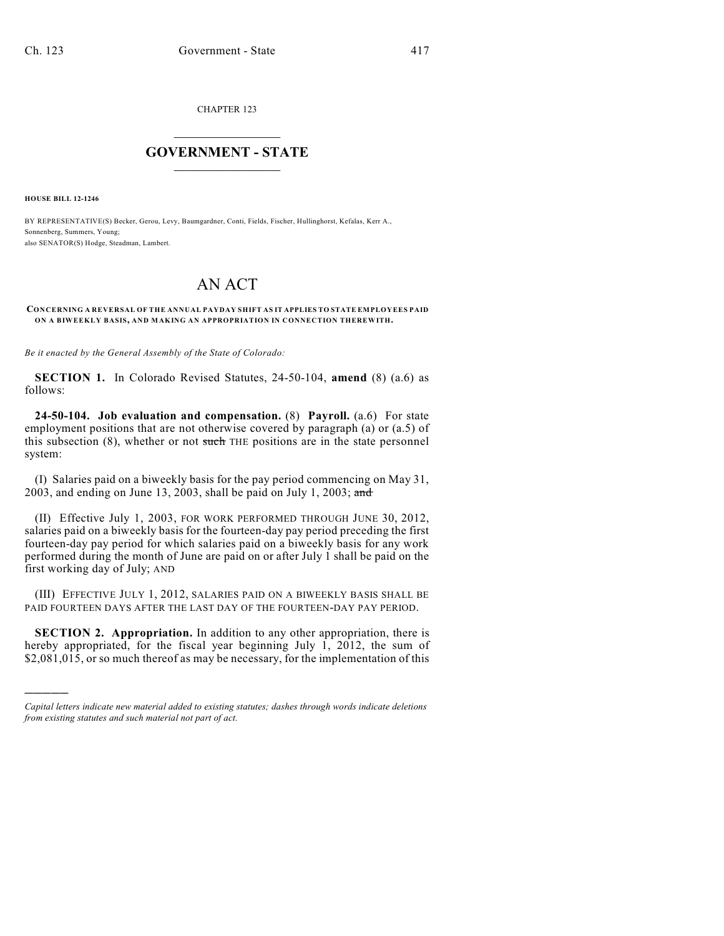CHAPTER 123

## $\overline{\phantom{a}}$  . The set of the set of the set of the set of the set of the set of the set of the set of the set of the set of the set of the set of the set of the set of the set of the set of the set of the set of the set o **GOVERNMENT - STATE**  $\_$

**HOUSE BILL 12-1246**

)))))

BY REPRESENTATIVE(S) Becker, Gerou, Levy, Baumgardner, Conti, Fields, Fischer, Hullinghorst, Kefalas, Kerr A., Sonnenberg, Summers, Young; also SENATOR(S) Hodge, Steadman, Lambert.

## AN ACT

## **CONCERNING A REVERSAL OF THE ANNUAL PAYDAY SHIFT AS IT APPLIES TO STATE EMPLOYEES PAID ON A BIWEEKLY BASIS, AND MAKING AN APPROPRIATION IN CONNECTION THEREWITH.**

*Be it enacted by the General Assembly of the State of Colorado:*

**SECTION 1.** In Colorado Revised Statutes, 24-50-104, **amend** (8) (a.6) as follows:

**24-50-104. Job evaluation and compensation.** (8) **Payroll.** (a.6) For state employment positions that are not otherwise covered by paragraph (a) or (a.5) of this subsection  $(8)$ , whether or not such THE positions are in the state personnel system:

(I) Salaries paid on a biweekly basis for the pay period commencing on May 31, 2003, and ending on June 13, 2003, shall be paid on July 1, 2003; and

(II) Effective July 1, 2003, FOR WORK PERFORMED THROUGH JUNE 30, 2012, salaries paid on a biweekly basis for the fourteen-day pay period preceding the first fourteen-day pay period for which salaries paid on a biweekly basis for any work performed during the month of June are paid on or after July 1 shall be paid on the first working day of July; AND

(III) EFFECTIVE JULY 1, 2012, SALARIES PAID ON A BIWEEKLY BASIS SHALL BE PAID FOURTEEN DAYS AFTER THE LAST DAY OF THE FOURTEEN-DAY PAY PERIOD.

**SECTION 2. Appropriation.** In addition to any other appropriation, there is hereby appropriated, for the fiscal year beginning July 1, 2012, the sum of \$2,081,015, or so much thereof as may be necessary, for the implementation of this

*Capital letters indicate new material added to existing statutes; dashes through words indicate deletions from existing statutes and such material not part of act.*